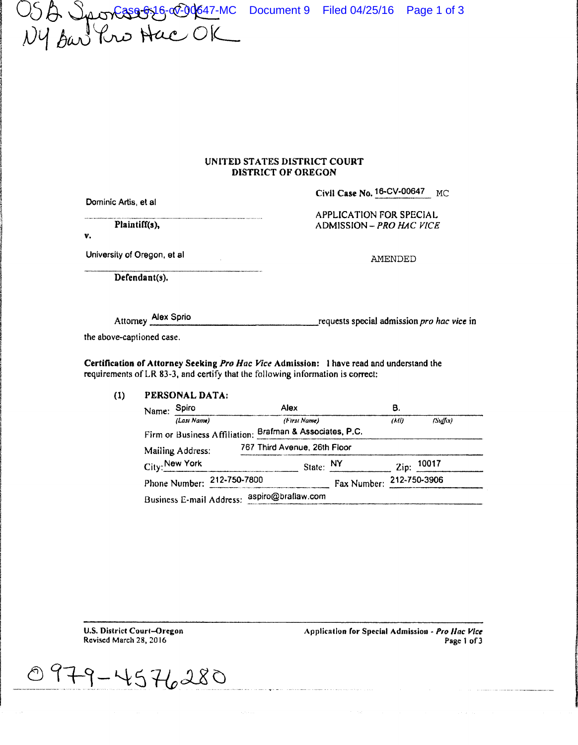USA Sportssof 16-00-0647-MC Document 9 Filed 04/25/16 Page 1 of 3<br>NY San Your Hace OK

### UNITED STATES DISTRICT COURT DISTRICT OF OREGON

Dominic Artis, et al

Civil Case No. 16-CV-00647 MC

Plaintiff(s),

APPLICATION FOR SPECIAL ADMISSION - PRO HAC VICE

v.

University of Oregon, et al.

Defendant(s).

AMENDED

Attorney Alex Sprio requests special admission pro hac vice in

the above-captioned case.

Certification of Attorney Seeking Pro Hac Vice Admission: 1 have read and understand the requirements of LR 83-3, and certify that the following information is correct:

#### $(1)$ PERSONAL DATA:

| Name:                         | Spiro                    |                               | Alex<br>(First Name)         |  |                          | в               |          |  |
|-------------------------------|--------------------------|-------------------------------|------------------------------|--|--------------------------|-----------------|----------|--|
|                               | (Lasi Name)              |                               |                              |  |                          | (Ml)            | (Suffix) |  |
|                               |                          | Firm or Business Affiliation: | Brafman & Associates, P.C.   |  |                          |                 |          |  |
|                               | Mailing Address:         |                               | 767 Third Avenue, 26th Floor |  |                          |                 |          |  |
|                               | City: New York           |                               |                              |  | State: $NY$              | $\mathsf{Zip:}$ | 10017    |  |
| 212-750-7800<br>Phone Number: |                          |                               |                              |  | Fax Number: 212-750-3906 |                 |          |  |
|                               | Business E-mail Address: |                               | aspiro@braflaw.com           |  |                          |                 |          |  |

**U.S. District Court-Oregon** Revised March 28, 2016

Application for Special Admission - Pro Hac Vice Page 1 of 3

 $179 - 4576280$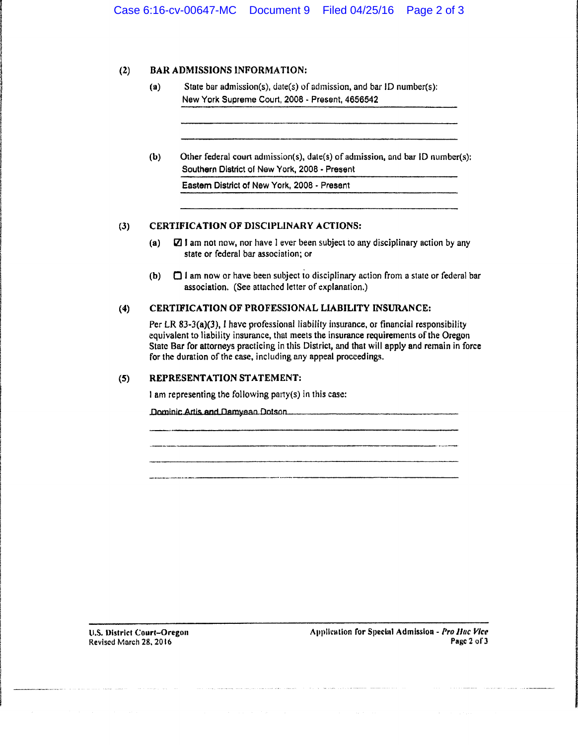### (2) BAR ADMISSIONS INFORMATION:

- (a) State bar admission(s), date(s) of admission, and bar JD number(s): New York Supreme Court, 2008 - Present, 4656542
- (b) Other federal court admission(s), dale(s) of admission, and bar ID numbcr(s): Southern District of New York, 2008 - Present

Eastem District of New York, 2008 - Present

#### (3) CERTIFICA TJON OF DISCIPLINARY ACTIONS:

- (a)  $\Box$  1 am not now, nor have I ever been subject to any disciplinary action by any state or federal bar association; or
- (b)  $\Box$  I am now or have been subject to disciplinary action from a state or federal bar association. (See attached letter of explanation.)

# (4) CERTIFICATION OF PROFESSIONAL LIABILITY INSURANCE:

Per LR 83-3(a)(3), I have professional liability insurance, or financial responsibility equivalent to liability insurance, that meets the insurance requirements of the Oregon State Bar for attorneys practicing in this District, and that will apply and remain in force for the duration of the case, including any appeal proceedings.

# (5) REPRESENTATION STATEMENT:

I am representing the following pa11y(s) in this case:

Dominic Artis and Damyean Dotson

U.S. District Court-Oregon Revised Morch 28, 2016